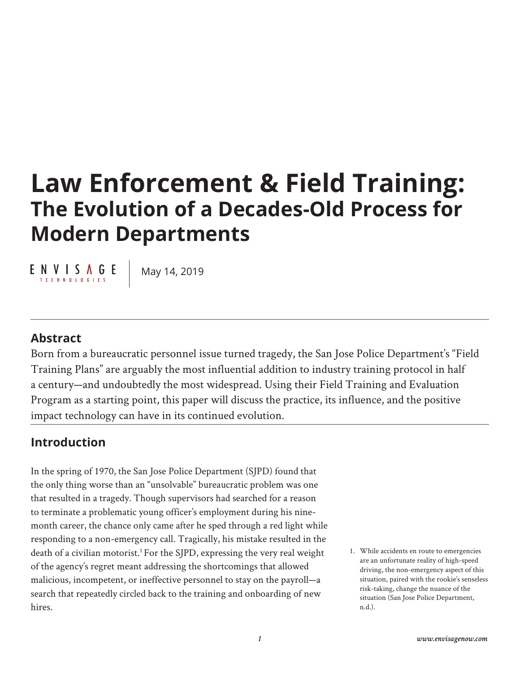# **Law Enforcement & Field Training: The Evolution of a Decades-Old Process for Modern Departments**

ENVISAGE T E C H N O L O G I E S

May 14, 2019

### **Abstract**

Born from a bureaucratic personnel issue turned tragedy, the San Jose Police Department's "Field Training Plans" are arguably the most influential addition to industry training protocol in half a century—and undoubtedly the most widespread. Using their Field Training and Evaluation Program as a starting point, this paper will discuss the practice, its influence, and the positive impact technology can have in its continued evolution.

# **Introduction**

In the spring of 1970, the San Jose Police Department (SJPD) found that the only thing worse than an "unsolvable" bureaucratic problem was one that resulted in a tragedy. Though supervisors had searched for a reason to terminate a problematic young officer's employment during his ninemonth career, the chance only came after he sped through a red light while responding to a non-emergency call. Tragically, his mistake resulted in the death of a civilian motorist.<sup>1</sup> For the SJPD, expressing the very real weight of the agency's regret meant addressing the shortcomings that allowed malicious, incompetent, or ineffective personnel to stay on the payroll—a search that repeatedly circled back to the training and onboarding of new hires.

1. While accidents en route to emergencies are an unfortunate reality of high-speed driving, the non-emergency aspect of this situation, paired with the rookie's senseless risk-taking, change the nuance of the situation (San Jose Police Department, n.d.).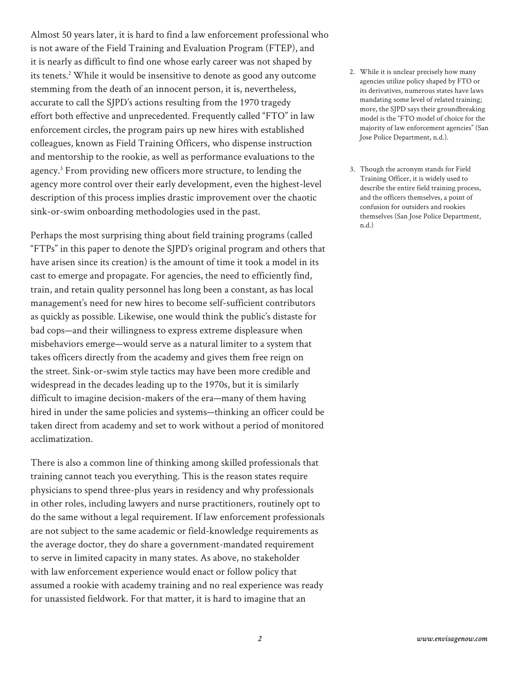Almost 50 years later, it is hard to find a law enforcement professional who is not aware of the Field Training and Evaluation Program (FTEP), and it is nearly as difficult to find one whose early career was not shaped by its tenets.<sup>2</sup> While it would be insensitive to denote as good any outcome stemming from the death of an innocent person, it is, nevertheless, accurate to call the SJPD's actions resulting from the 1970 tragedy effort both effective and unprecedented. Frequently called "FTO" in law enforcement circles, the program pairs up new hires with established colleagues, known as Field Training Officers, who dispense instruction and mentorship to the rookie, as well as performance evaluations to the agency.<sup>3</sup> From providing new officers more structure, to lending the agency more control over their early development, even the highest-level description of this process implies drastic improvement over the chaotic sink-or-swim onboarding methodologies used in the past.

Perhaps the most surprising thing about field training programs (called "FTPs" in this paper to denote the SJPD's original program and others that have arisen since its creation) is the amount of time it took a model in its cast to emerge and propagate. For agencies, the need to efficiently find, train, and retain quality personnel has long been a constant, as has local management's need for new hires to become self-sufficient contributors as quickly as possible. Likewise, one would think the public's distaste for bad cops—and their willingness to express extreme displeasure when misbehaviors emerge—would serve as a natural limiter to a system that takes officers directly from the academy and gives them free reign on the street. Sink-or-swim style tactics may have been more credible and widespread in the decades leading up to the 1970s, but it is similarly difficult to imagine decision-makers of the era—many of them having hired in under the same policies and systems—thinking an officer could be taken direct from academy and set to work without a period of monitored acclimatization.

There is also a common line of thinking among skilled professionals that training cannot teach you everything. This is the reason states require physicians to spend three-plus years in residency and why professionals in other roles, including lawyers and nurse practitioners, routinely opt to do the same without a legal requirement. If law enforcement professionals are not subject to the same academic or field-knowledge requirements as the average doctor, they do share a government-mandated requirement to serve in limited capacity in many states. As above, no stakeholder with law enforcement experience would enact or follow policy that assumed a rookie with academy training and no real experience was ready for unassisted fieldwork. For that matter, it is hard to imagine that an

- 2. While it is unclear precisely how many agencies utilize policy shaped by FTO or its derivatives, numerous states have laws mandating some level of related training; more, the SJPD says their groundbreaking model is the "FTO model of choice for the majority of law enforcement agencies" (San Jose Police Department, n.d.).
- 3. Though the acronym stands for Field Training Officer, it is widely used to describe the entire field training process, and the officers themselves, a point of confusion for outsiders and rookies themselves (San Jose Police Department, n.d.)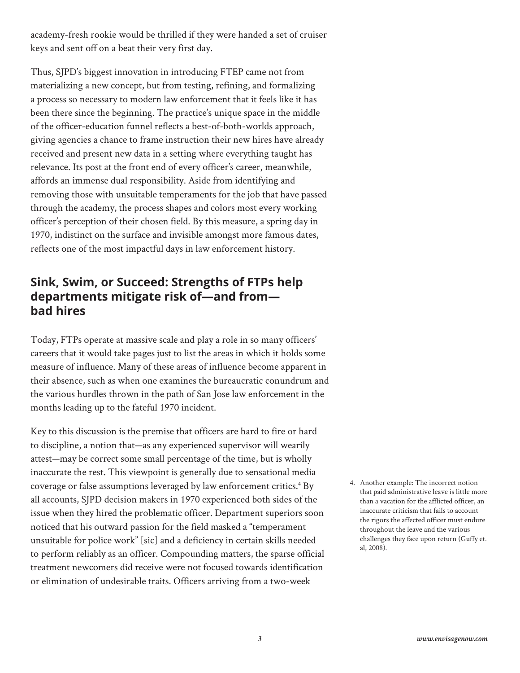academy-fresh rookie would be thrilled if they were handed a set of cruiser keys and sent off on a beat their very first day.

Thus, SJPD's biggest innovation in introducing FTEP came not from materializing a new concept, but from testing, refining, and formalizing a process so necessary to modern law enforcement that it feels like it has been there since the beginning. The practice's unique space in the middle of the officer-education funnel reflects a best-of-both-worlds approach, giving agencies a chance to frame instruction their new hires have already received and present new data in a setting where everything taught has relevance. Its post at the front end of every officer's career, meanwhile, affords an immense dual responsibility. Aside from identifying and removing those with unsuitable temperaments for the job that have passed through the academy, the process shapes and colors most every working officer's perception of their chosen field. By this measure, a spring day in 1970, indistinct on the surface and invisible amongst more famous dates, reflects one of the most impactful days in law enforcement history.

## **Sink, Swim, or Succeed: Strengths of FTPs help departments mitigate risk of—and from bad hires**

Today, FTPs operate at massive scale and play a role in so many officers' careers that it would take pages just to list the areas in which it holds some measure of influence. Many of these areas of influence become apparent in their absence, such as when one examines the bureaucratic conundrum and the various hurdles thrown in the path of San Jose law enforcement in the months leading up to the fateful 1970 incident.

Key to this discussion is the premise that officers are hard to fire or hard to discipline, a notion that—as any experienced supervisor will wearily attest—may be correct some small percentage of the time, but is wholly inaccurate the rest. This viewpoint is generally due to sensational media coverage or false assumptions leveraged by law enforcement critics.<sup>4</sup> By all accounts, SJPD decision makers in 1970 experienced both sides of the issue when they hired the problematic officer. Department superiors soon noticed that his outward passion for the field masked a "temperament unsuitable for police work" [sic] and a deficiency in certain skills needed to perform reliably as an officer. Compounding matters, the sparse official treatment newcomers did receive were not focused towards identification or elimination of undesirable traits. Officers arriving from a two-week

4. Another example: The incorrect notion that paid administrative leave is little more than a vacation for the afflicted officer, an inaccurate criticism that fails to account the rigors the affected officer must endure throughout the leave and the various challenges they face upon return (Guffy et. al, 2008).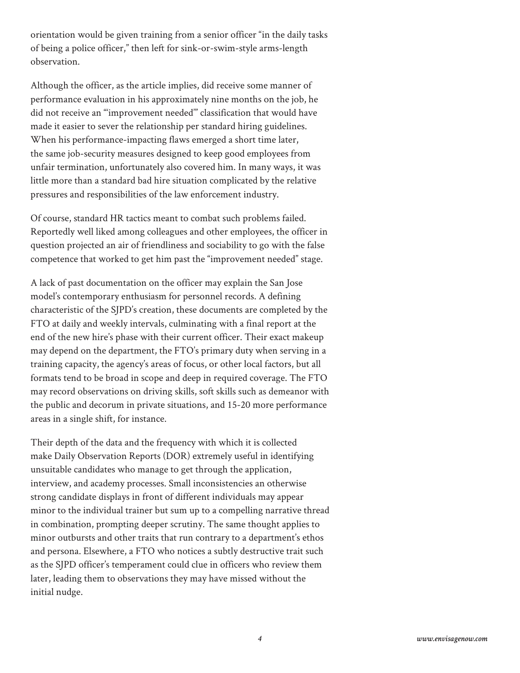orientation would be given training from a senior officer "in the daily tasks of being a police officer," then left for sink-or-swim-style arms-length observation.

Although the officer, as the article implies, did receive some manner of performance evaluation in his approximately nine months on the job, he did not receive an "'improvement needed'" classification that would have made it easier to sever the relationship per standard hiring guidelines. When his performance-impacting flaws emerged a short time later, the same job-security measures designed to keep good employees from unfair termination, unfortunately also covered him. In many ways, it was little more than a standard bad hire situation complicated by the relative pressures and responsibilities of the law enforcement industry.

Of course, standard HR tactics meant to combat such problems failed. Reportedly well liked among colleagues and other employees, the officer in question projected an air of friendliness and sociability to go with the false competence that worked to get him past the "improvement needed" stage.

A lack of past documentation on the officer may explain the San Jose model's contemporary enthusiasm for personnel records. A defining characteristic of the SJPD's creation, these documents are completed by the FTO at daily and weekly intervals, culminating with a final report at the end of the new hire's phase with their current officer. Their exact makeup may depend on the department, the FTO's primary duty when serving in a training capacity, the agency's areas of focus, or other local factors, but all formats tend to be broad in scope and deep in required coverage. The FTO may record observations on driving skills, soft skills such as demeanor with the public and decorum in private situations, and 15-20 more performance areas in a single shift, for instance.

Their depth of the data and the frequency with which it is collected make Daily Observation Reports (DOR) extremely useful in identifying unsuitable candidates who manage to get through the application, interview, and academy processes. Small inconsistencies an otherwise strong candidate displays in front of different individuals may appear minor to the individual trainer but sum up to a compelling narrative thread in combination, prompting deeper scrutiny. The same thought applies to minor outbursts and other traits that run contrary to a department's ethos and persona. Elsewhere, a FTO who notices a subtly destructive trait such as the SJPD officer's temperament could clue in officers who review them later, leading them to observations they may have missed without the initial nudge.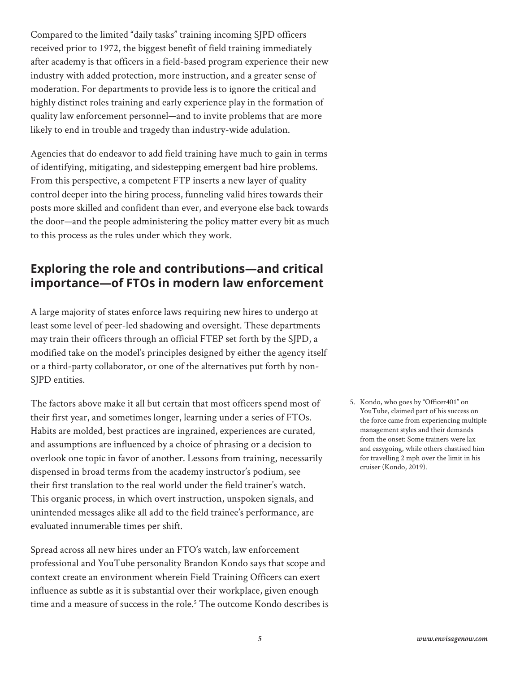Compared to the limited "daily tasks" training incoming SJPD officers received prior to 1972, the biggest benefit of field training immediately after academy is that officers in a field-based program experience their new industry with added protection, more instruction, and a greater sense of moderation. For departments to provide less is to ignore the critical and highly distinct roles training and early experience play in the formation of quality law enforcement personnel—and to invite problems that are more likely to end in trouble and tragedy than industry-wide adulation.

Agencies that do endeavor to add field training have much to gain in terms of identifying, mitigating, and sidestepping emergent bad hire problems. From this perspective, a competent FTP inserts a new layer of quality control deeper into the hiring process, funneling valid hires towards their posts more skilled and confident than ever, and everyone else back towards the door—and the people administering the policy matter every bit as much to this process as the rules under which they work.

# **Exploring the role and contributions—and critical importance—of FTOs in modern law enforcement**

A large majority of states enforce laws requiring new hires to undergo at least some level of peer-led shadowing and oversight. These departments may train their officers through an official FTEP set forth by the SJPD, a modified take on the model's principles designed by either the agency itself or a third-party collaborator, or one of the alternatives put forth by non-SJPD entities.

The factors above make it all but certain that most officers spend most of their first year, and sometimes longer, learning under a series of FTOs. Habits are molded, best practices are ingrained, experiences are curated, and assumptions are influenced by a choice of phrasing or a decision to overlook one topic in favor of another. Lessons from training, necessarily dispensed in broad terms from the academy instructor's podium, see their first translation to the real world under the field trainer's watch. This organic process, in which overt instruction, unspoken signals, and unintended messages alike all add to the field trainee's performance, are evaluated innumerable times per shift.

Spread across all new hires under an FTO's watch, law enforcement professional and YouTube personality Brandon Kondo says that scope and context create an environment wherein Field Training Officers can exert influence as subtle as it is substantial over their workplace, given enough time and a measure of success in the role.5 The outcome Kondo describes is 5. Kondo, who goes by "Officer401" on YouTube, claimed part of his success on the force came from experiencing multiple management styles and their demands from the onset: Some trainers were lax and easygoing, while others chastised him for travelling 2 mph over the limit in his cruiser (Kondo, 2019).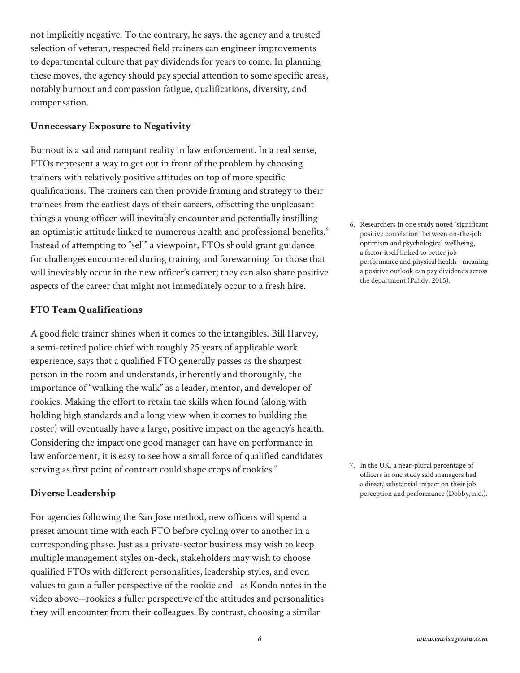not implicitly negative. To the contrary, he says, the agency and a trusted selection of veteran, respected field trainers can engineer improvements to departmental culture that pay dividends for years to come. In planning these moves, the agency should pay special attention to some specific areas, notably burnout and compassion fatigue, qualifications, diversity, and compensation.

#### **Unnecessary Exposure to Negativity**

Burnout is a sad and rampant reality in law enforcement. In a real sense, FTOs represent a way to get out in front of the problem by choosing trainers with relatively positive attitudes on top of more specific qualifications. The trainers can then provide framing and strategy to their trainees from the earliest days of their careers, offsetting the unpleasant things a young officer will inevitably encounter and potentially instilling an optimistic attitude linked to numerous health and professional benefits.<sup>6</sup> Instead of attempting to "sell" a viewpoint, FTOs should grant guidance for challenges encountered during training and forewarning for those that will inevitably occur in the new officer's career; they can also share positive aspects of the career that might not immediately occur to a fresh hire.

#### **FTO Team Qualifications**

A good field trainer shines when it comes to the intangibles. Bill Harvey, a semi-retired police chief with roughly 25 years of applicable work experience, says that a qualified FTO generally passes as the sharpest person in the room and understands, inherently and thoroughly, the importance of "walking the walk" as a leader, mentor, and developer of rookies. Making the effort to retain the skills when found (along with holding high standards and a long view when it comes to building the roster) will eventually have a large, positive impact on the agency's health. Considering the impact one good manager can have on performance in law enforcement, it is easy to see how a small force of qualified candidates serving as first point of contract could shape crops of rookies.<sup>7</sup>

#### **Diverse Leadership**

For agencies following the San Jose method, new officers will spend a preset amount time with each FTO before cycling over to another in a corresponding phase. Just as a private-sector business may wish to keep multiple management styles on-deck, stakeholders may wish to choose qualified FTOs with different personalities, leadership styles, and even values to gain a fuller perspective of the rookie and—as Kondo notes in the video above—rookies a fuller perspective of the attitudes and personalities they will encounter from their colleagues. By contrast, choosing a similar

6. Researchers in one study noted "significant positive correlation" between on-the-job optimism and psychological wellbeing, a factor itself linked to better job performance and physical health—meaning a positive outlook can pay dividends across the department (Pahdy, 2015).

7. In the UK, a near-plural percentage of officers in one study said managers had a direct, substantial impact on their job perception and performance (Dobby, n.d.).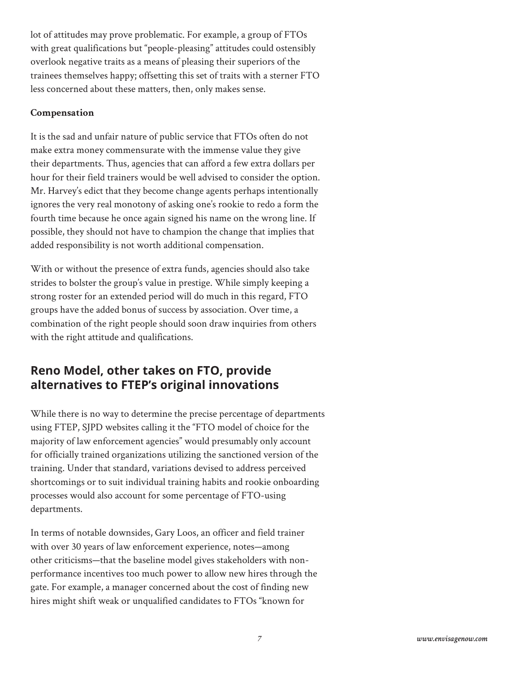lot of attitudes may prove problematic. For example, a group of FTOs with great qualifications but "people-pleasing" attitudes could ostensibly overlook negative traits as a means of pleasing their superiors of the trainees themselves happy; offsetting this set of traits with a sterner FTO less concerned about these matters, then, only makes sense.

#### **Compensation**

It is the sad and unfair nature of public service that FTOs often do not make extra money commensurate with the immense value they give their departments. Thus, agencies that can afford a few extra dollars per hour for their field trainers would be well advised to consider the option. Mr. Harvey's edict that they become change agents perhaps intentionally ignores the very real monotony of asking one's rookie to redo a form the fourth time because he once again signed his name on the wrong line. If possible, they should not have to champion the change that implies that added responsibility is not worth additional compensation.

With or without the presence of extra funds, agencies should also take strides to bolster the group's value in prestige. While simply keeping a strong roster for an extended period will do much in this regard, FTO groups have the added bonus of success by association. Over time, a combination of the right people should soon draw inquiries from others with the right attitude and qualifications.

# **Reno Model, other takes on FTO, provide alternatives to FTEP's original innovations**

While there is no way to determine the precise percentage of departments using FTEP, SJPD websites calling it the "FTO model of choice for the majority of law enforcement agencies" would presumably only account for officially trained organizations utilizing the sanctioned version of the training. Under that standard, variations devised to address perceived shortcomings or to suit individual training habits and rookie onboarding processes would also account for some percentage of FTO-using departments.

In terms of notable downsides, Gary Loos, an officer and field trainer with over 30 years of law enforcement experience, notes—among other criticisms—that the baseline model gives stakeholders with nonperformance incentives too much power to allow new hires through the gate. For example, a manager concerned about the cost of finding new hires might shift weak or unqualified candidates to FTOs "known for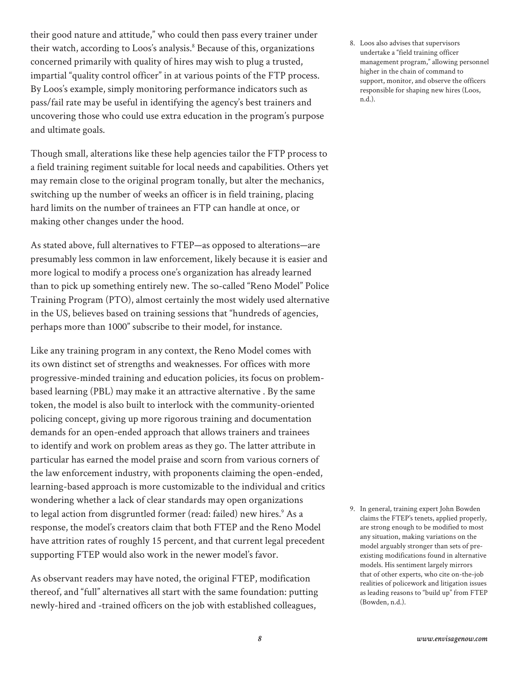their good nature and attitude," who could then pass every trainer under their watch, according to Loos's analysis.<sup>8</sup> Because of this, organizations concerned primarily with quality of hires may wish to plug a trusted, impartial "quality control officer" in at various points of the FTP process. By Loos's example, simply monitoring performance indicators such as pass/fail rate may be useful in identifying the agency's best trainers and uncovering those who could use extra education in the program's purpose and ultimate goals.

Though small, alterations like these help agencies tailor the FTP process to a field training regiment suitable for local needs and capabilities. Others yet may remain close to the original program tonally, but alter the mechanics, switching up the number of weeks an officer is in field training, placing hard limits on the number of trainees an FTP can handle at once, or making other changes under the hood.

As stated above, full alternatives to FTEP—as opposed to alterations—are presumably less common in law enforcement, likely because it is easier and more logical to modify a process one's organization has already learned than to pick up something entirely new. The so-called "Reno Model" Police Training Program (PTO), almost certainly the most widely used alternative in the US, believes based on training sessions that "hundreds of agencies, perhaps more than 1000" subscribe to their model, for instance.

Like any training program in any context, the Reno Model comes with its own distinct set of strengths and weaknesses. For offices with more progressive-minded training and education policies, its focus on problembased learning (PBL) may make it an attractive alternative . By the same token, the model is also built to interlock with the community-oriented policing concept, giving up more rigorous training and documentation demands for an open-ended approach that allows trainers and trainees to identify and work on problem areas as they go. The latter attribute in particular has earned the model praise and scorn from various corners of the law enforcement industry, with proponents claiming the open-ended, learning-based approach is more customizable to the individual and critics wondering whether a lack of clear standards may open organizations to legal action from disgruntled former (read: failed) new hires.<sup>9</sup> As a response, the model's creators claim that both FTEP and the Reno Model have attrition rates of roughly 15 percent, and that current legal precedent supporting FTEP would also work in the newer model's favor.

As observant readers may have noted, the original FTEP, modification thereof, and "full" alternatives all start with the same foundation: putting newly-hired and -trained officers on the job with established colleagues,

8. Loos also advises that supervisors undertake a "field training officer management program," allowing personnel higher in the chain of command to support, monitor, and observe the officers responsible for shaping new hires (Loos, n.d.).

9. In general, training expert John Bowden claims the FTEP's tenets, applied properly, are strong enough to be modified to most any situation, making variations on the model arguably stronger than sets of preexisting modifications found in alternative models. His sentiment largely mirrors that of other experts, who cite on-the-job realities of policework and litigation issues as leading reasons to "build up" from FTEP (Bowden, n.d.).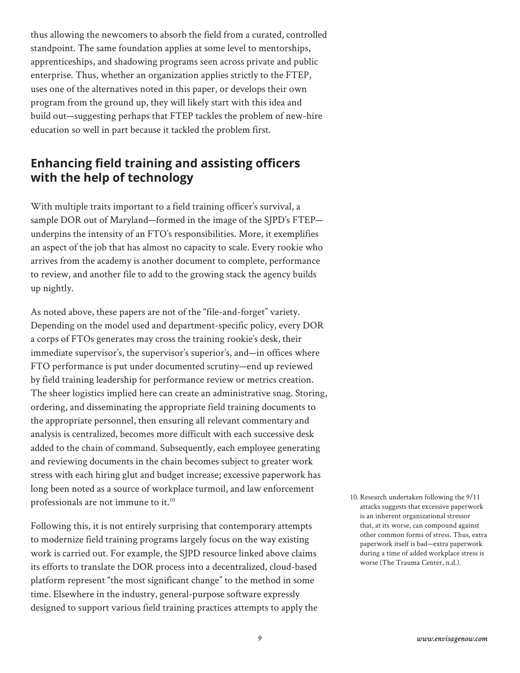thus allowing the newcomers to absorb the field from a curated, controlled standpoint. The same foundation applies at some level to mentorships, apprenticeships, and shadowing programs seen across private and public enterprise. Thus, whether an organization applies strictly to the FTEP, uses one of the alternatives noted in this paper, or develops their own program from the ground up, they will likely start with this idea and build out—suggesting perhaps that FTEP tackles the problem of new-hire education so well in part because it tackled the problem first.

# **Enhancing field training and assisting officers with the help of technology**

With multiple traits important to a field training officer's survival, a sample DOR out of Maryland—formed in the image of the SJPD's FTEP underpins the intensity of an FTO's responsibilities. More, it exemplifies an aspect of the job that has almost no capacity to scale. Every rookie who arrives from the academy is another document to complete, performance to review, and another file to add to the growing stack the agency builds up nightly.

As noted above, these papers are not of the "file-and-forget" variety. Depending on the model used and department-specific policy, every DOR a corps of FTOs generates may cross the training rookie's desk, their immediate supervisor's, the supervisor's superior's, and—in offices where FTO performance is put under documented scrutiny—end up reviewed by field training leadership for performance review or metrics creation. The sheer logistics implied here can create an administrative snag. Storing, ordering, and disseminating the appropriate field training documents to the appropriate personnel, then ensuring all relevant commentary and analysis is centralized, becomes more difficult with each successive desk added to the chain of command. Subsequently, each employee generating and reviewing documents in the chain becomes subject to greater work stress with each hiring glut and budget increase; excessive paperwork has long been noted as a source of workplace turmoil, and law enforcement professionals are not immune to it.<sup>10</sup>

Following this, it is not entirely surprising that contemporary attempts to modernize field training programs largely focus on the way existing work is carried out. For example, the SJPD resource linked above claims its efforts to translate the DOR process into a decentralized, cloud-based platform represent "the most significant change" to the method in some time. Elsewhere in the industry, general-purpose software expressly designed to support various field training practices attempts to apply the 10.Research undertaken following the 9/11 attacks suggests that excessive paperwork is an inherent organizational stressor that, at its worse, can compound against other common forms of stress. Thus, extra paperwork itself is bad—extra paperwork during a time of added workplace stress is worse (The Trauma Center, n.d.).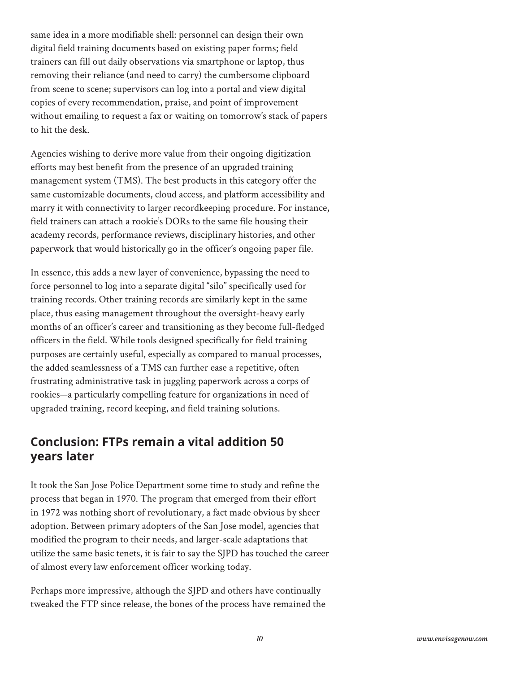same idea in a more modifiable shell: personnel can design their own digital field training documents based on existing paper forms; field trainers can fill out daily observations via smartphone or laptop, thus removing their reliance (and need to carry) the cumbersome clipboard from scene to scene; supervisors can log into a portal and view digital copies of every recommendation, praise, and point of improvement without emailing to request a fax or waiting on tomorrow's stack of papers to hit the desk.

Agencies wishing to derive more value from their ongoing digitization efforts may best benefit from the presence of an upgraded training management system (TMS). The best products in this category offer the same customizable documents, cloud access, and platform accessibility and marry it with connectivity to larger recordkeeping procedure. For instance, field trainers can attach a rookie's DORs to the same file housing their academy records, performance reviews, disciplinary histories, and other paperwork that would historically go in the officer's ongoing paper file.

In essence, this adds a new layer of convenience, bypassing the need to force personnel to log into a separate digital "silo" specifically used for training records. Other training records are similarly kept in the same place, thus easing management throughout the oversight-heavy early months of an officer's career and transitioning as they become full-fledged officers in the field. While tools designed specifically for field training purposes are certainly useful, especially as compared to manual processes, the added seamlessness of a TMS can further ease a repetitive, often frustrating administrative task in juggling paperwork across a corps of rookies—a particularly compelling feature for organizations in need of upgraded training, record keeping, and field training solutions.

## **Conclusion: FTPs remain a vital addition 50 years later**

It took the San Jose Police Department some time to study and refine the process that began in 1970. The program that emerged from their effort in 1972 was nothing short of revolutionary, a fact made obvious by sheer adoption. Between primary adopters of the San Jose model, agencies that modified the program to their needs, and larger-scale adaptations that utilize the same basic tenets, it is fair to say the SJPD has touched the career of almost every law enforcement officer working today.

Perhaps more impressive, although the SJPD and others have continually tweaked the FTP since release, the bones of the process have remained the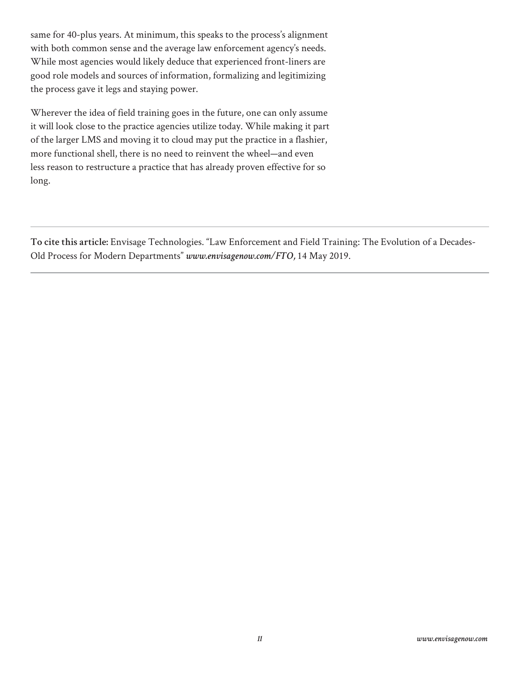same for 40-plus years. At minimum, this speaks to the process's alignment with both common sense and the average law enforcement agency's needs. While most agencies would likely deduce that experienced front-liners are good role models and sources of information, formalizing and legitimizing the process gave it legs and staying power.

Wherever the idea of field training goes in the future, one can only assume it will look close to the practice agencies utilize today. While making it part of the larger LMS and moving it to cloud may put the practice in a flashier, more functional shell, there is no need to reinvent the wheel—and even less reason to restructure a practice that has already proven effective for so long.

**To cite this article:** Envisage Technologies. "Law Enforcement and Field Training: The Evolution of a Decades-Old Process for Modern Departments" *www.envisagenow.com/FTO,* 14 May 2019.